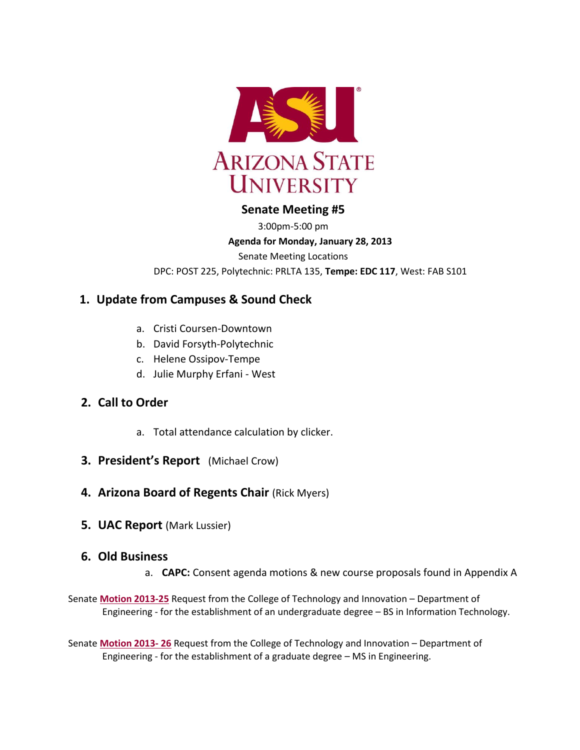

# **Senate Meeting #5**

3:00pm-5:00 pm

#### **Agenda for Monday, January 28, 2013**

Senate Meeting Locations

DPC: POST 225, Polytechnic: PRLTA 135, **Tempe: EDC 117**, West: FAB S101

# **1. Update from Campuses & Sound Check**

- a. Cristi Coursen-Downtown
- b. David Forsyth-Polytechnic
- c. Helene Ossipov-Tempe
- d. Julie Murphy Erfani West

# **2. Call to Order**

- a. Total attendance calculation by clicker.
- **3. President's Report** (Michael Crow)
- **4. Arizona Board of Regents Chair (Rick Myers)**
- **5. UAC Report** (Mark Lussier)

# **6. Old Business**

- a. **CAPC:** Consent agenda motions & new course proposals found in Appendix A
- Senate **[Motion 2013-25](http://usenate.asu.edu/node/4460)** Request from the College of Technology and Innovation Department of Engineering - for the establishment of an undergraduate degree – BS in Information Technology.

Senate **[Motion 2013-](http://usenate.asu.edu/node/4461) 26** Request from the College of Technology and Innovation – Department of Engineering - for the establishment of a graduate degree – MS in Engineering.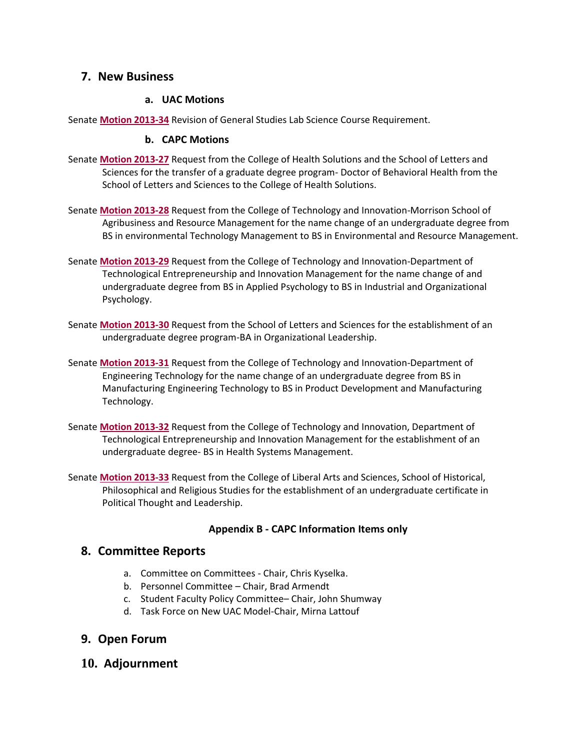# **7. New Business**

### **a. UAC Motions**

Senate **[Motion 2013-34](http://usenate.asu.edu/node/4490)** Revision of General Studies Lab Science Course Requirement.

#### **b. CAPC Motions**

- Senate **[Motion 2013-27](http://usenate.asu.edu/node/4478)** Request from the College of Health Solutions and the School of Letters and Sciences for the transfer of a graduate degree program- Doctor of Behavioral Health from the School of Letters and Sciences to the College of Health Solutions.
- Senate **[Motion 2013-28](http://usenate.asu.edu/node/4479)** Request from the College of Technology and Innovation-Morrison School of Agribusiness and Resource Management for the name change of an undergraduate degree from BS in environmental Technology Management to BS in Environmental and Resource Management.
- Senate **[Motion 2013-29](http://usenate.asu.edu/node/4480)** Request from the College of Technology and Innovation-Department of Technological Entrepreneurship and Innovation Management for the name change of and undergraduate degree from BS in Applied Psychology to BS in Industrial and Organizational Psychology.
- Senate **[Motion 2013-30](http://usenate.asu.edu/node/4481)** Request from the School of Letters and Sciences for the establishment of an undergraduate degree program-BA in Organizational Leadership.
- Senate **[Motion 2013-31](http://usenate.asu.edu/node/4482)** Request from the College of Technology and Innovation-Department of Engineering Technology for the name change of an undergraduate degree from BS in Manufacturing Engineering Technology to BS in Product Development and Manufacturing Technology.
- Senate **[Motion 2013-32](http://usenate.asu.edu/node/4483)** Request from the College of Technology and Innovation, Department of Technological Entrepreneurship and Innovation Management for the establishment of an undergraduate degree- BS in Health Systems Management.
- Senate **[Motion 2013-33](http://usenate.asu.edu/node/4486)** Request from the College of Liberal Arts and Sciences, School of Historical, Philosophical and Religious Studies for the establishment of an undergraduate certificate in Political Thought and Leadership.

# **Appendix B - CAPC Information Items only**

# **8. Committee Reports**

- a. Committee on Committees Chair, Chris Kyselka.
- b. Personnel Committee Chair, Brad Armendt
- c. Student Faculty Policy Committee– Chair, John Shumway
- d. Task Force on New UAC Model-Chair, Mirna Lattouf

# **9. Open Forum**

**10. Adjournment**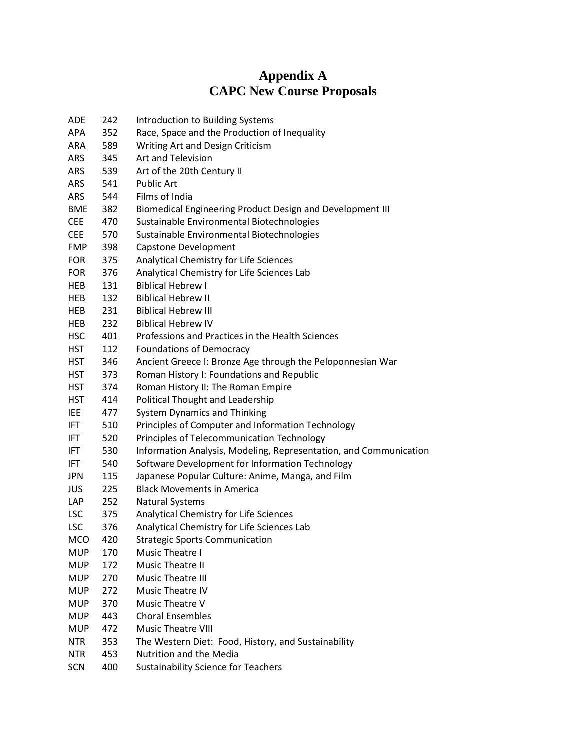# **Appendix A CAPC New Course Proposals**

| <b>ADE</b> | 242 | Introduction to Building Systems                                  |
|------------|-----|-------------------------------------------------------------------|
| <b>APA</b> | 352 | Race, Space and the Production of Inequality                      |
| <b>ARA</b> | 589 | Writing Art and Design Criticism                                  |
| <b>ARS</b> | 345 | Art and Television                                                |
| <b>ARS</b> | 539 | Art of the 20th Century II                                        |
| ARS        | 541 | <b>Public Art</b>                                                 |
| <b>ARS</b> | 544 | Films of India                                                    |
| <b>BME</b> | 382 | Biomedical Engineering Product Design and Development III         |
| <b>CEE</b> | 470 | Sustainable Environmental Biotechnologies                         |
| <b>CEE</b> | 570 | Sustainable Environmental Biotechnologies                         |
| <b>FMP</b> | 398 | Capstone Development                                              |
| <b>FOR</b> | 375 | Analytical Chemistry for Life Sciences                            |
| <b>FOR</b> | 376 | Analytical Chemistry for Life Sciences Lab                        |
| <b>HEB</b> | 131 | <b>Biblical Hebrew I</b>                                          |
| <b>HEB</b> | 132 | <b>Biblical Hebrew II</b>                                         |
| HEB        | 231 | <b>Biblical Hebrew III</b>                                        |
| HEB        | 232 | <b>Biblical Hebrew IV</b>                                         |
| <b>HSC</b> | 401 | Professions and Practices in the Health Sciences                  |
| <b>HST</b> | 112 | <b>Foundations of Democracy</b>                                   |
| HST        | 346 | Ancient Greece I: Bronze Age through the Peloponnesian War        |
| <b>HST</b> | 373 | Roman History I: Foundations and Republic                         |
| <b>HST</b> | 374 | Roman History II: The Roman Empire                                |
| <b>HST</b> | 414 | Political Thought and Leadership                                  |
| <b>IEE</b> | 477 | <b>System Dynamics and Thinking</b>                               |
| IFT        | 510 | Principles of Computer and Information Technology                 |
| IFT        | 520 | Principles of Telecommunication Technology                        |
| <b>IFT</b> | 530 | Information Analysis, Modeling, Representation, and Communication |
| IFT        | 540 | Software Development for Information Technology                   |
| JPN        | 115 | Japanese Popular Culture: Anime, Manga, and Film                  |
| <b>JUS</b> | 225 | <b>Black Movements in America</b>                                 |
| LAP        | 252 | <b>Natural Systems</b>                                            |
| <b>LSC</b> | 375 | Analytical Chemistry for Life Sciences                            |
| <b>LSC</b> | 376 | Analytical Chemistry for Life Sciences Lab                        |
| <b>MCO</b> | 420 | <b>Strategic Sports Communication</b>                             |
| <b>MUP</b> | 170 | Music Theatre I                                                   |
| <b>MUP</b> | 172 | Music Theatre II                                                  |
| <b>MUP</b> | 270 | <b>Music Theatre III</b>                                          |
| <b>MUP</b> | 272 | <b>Music Theatre IV</b>                                           |
| <b>MUP</b> | 370 | Music Theatre V                                                   |
| <b>MUP</b> | 443 | <b>Choral Ensembles</b>                                           |
| <b>MUP</b> | 472 | Music Theatre VIII                                                |
| <b>NTR</b> | 353 | The Western Diet: Food, History, and Sustainability               |
| <b>NTR</b> | 453 | Nutrition and the Media                                           |
| <b>SCN</b> | 400 | <b>Sustainability Science for Teachers</b>                        |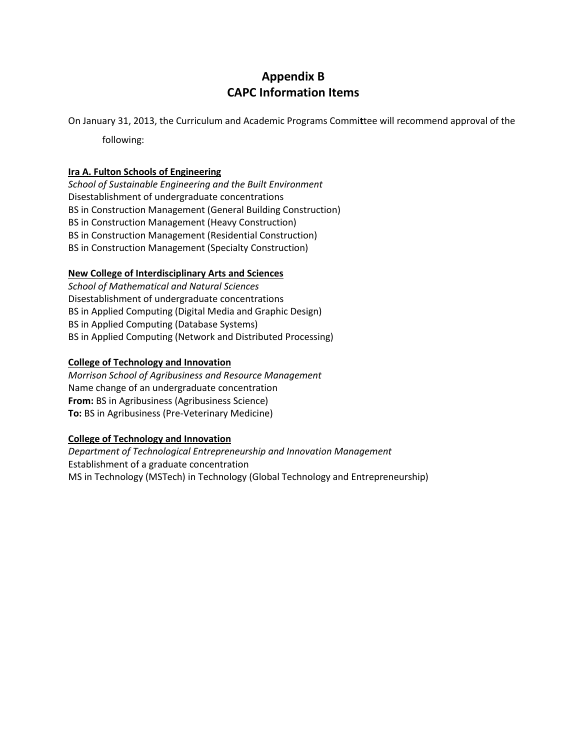# **Appendix B CAPC Information Items**

On January 31, 2013, the Curriculum and Academic Programs Commi**t**tee will recommend approval of the

following:

#### **Ira A. Fulton Schools of Engineering**

*School of Sustainable Engineering and the Built Environment* Disestablishment of undergraduate concentrations BS in Construction Management (General Building Construction) BS in Construction Management (Heavy Construction) BS in Construction Management (Residential Construction) BS in Construction Management (Specialty Construction)

#### **New College of Interdisciplinary Arts and Sciences**

*School of Mathematical and Natural Sciences* Disestablishment of undergraduate concentrations BS in Applied Computing (Digital Media and Graphic Design) BS in Applied Computing (Database Systems) BS in Applied Computing (Network and Distributed Processing)

#### **College of Technology and Innovation**

*Morrison School of Agribusiness and Resource Management* Name change of an undergraduate concentration **From:** BS in Agribusiness (Agribusiness Science) **[To:](https://provost.asu.edu/sites/default/files/shared/capc/CTI%20Proposal%20to%20Change%20Agribusiness%20Concentration%20to%20Pre-Vet%2011-19-2012.....pdf)** [BS in Agribusiness \(Pre-Veterinary Medicine\)](https://provost.asu.edu/sites/default/files/shared/capc/CTI%20Proposal%20to%20Change%20Agribusiness%20Concentration%20to%20Pre-Vet%2011-19-2012.....pdf)

#### **College of Technology and Innovation**

*Department of Technological Entrepreneurship and Innovation Management* Establishment of a graduate concentration MS in Technology (MSTech) in Technology (Global Technology and Entrepreneurship)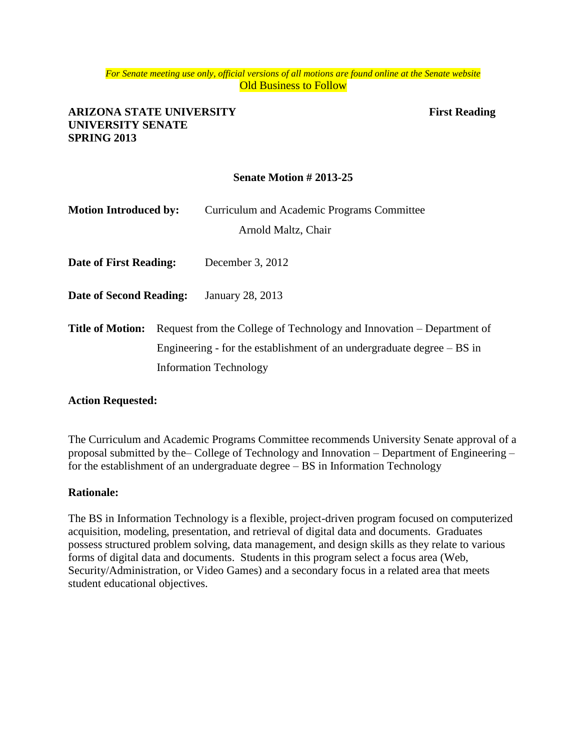#### *For Senate meeting use only, official versions of all motions are found online at the Senate website* **Old Business to Follow**

### **ARIZONA STATE UNIVERSITY First Reading UNIVERSITY SENATE SPRING 2013**

## **Senate Motion # 2013-25**

| <b>Motion Introduced by:</b>   |                                                                       | Curriculum and Academic Programs Committee                               |
|--------------------------------|-----------------------------------------------------------------------|--------------------------------------------------------------------------|
|                                |                                                                       | Arnold Maltz, Chair                                                      |
| Date of First Reading:         |                                                                       | December 3, 2012                                                         |
| <b>Date of Second Reading:</b> |                                                                       | January 28, 2013                                                         |
| <b>Title of Motion:</b>        | Request from the College of Technology and Innovation – Department of |                                                                          |
|                                |                                                                       | Engineering - for the establishment of an undergraduate degree $- BS$ in |
|                                |                                                                       | <b>Information Technology</b>                                            |

#### **Action Requested:**

The Curriculum and Academic Programs Committee recommends University Senate approval of a proposal submitted by the– College of Technology and Innovation – Department of Engineering – for the establishment of an undergraduate degree – BS in Information Technology

#### **Rationale:**

The BS in Information Technology is a flexible, project-driven program focused on computerized acquisition, modeling, presentation, and retrieval of digital data and documents. Graduates possess structured problem solving, data management, and design skills as they relate to various forms of digital data and documents. Students in this program select a focus area (Web, Security/Administration, or Video Games) and a secondary focus in a related area that meets student educational objectives.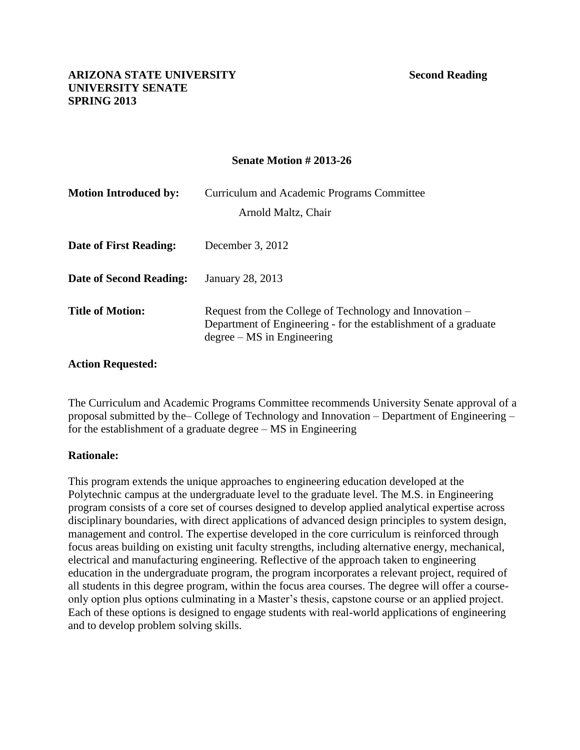### **Senate Motion # 2013-26**

| <b>Motion Introduced by:</b> | Curriculum and Academic Programs Committee<br>Arnold Maltz, Chair                                                                                          |
|------------------------------|------------------------------------------------------------------------------------------------------------------------------------------------------------|
| Date of First Reading:       | December $3, 2012$                                                                                                                                         |
| Date of Second Reading:      | January 28, 2013                                                                                                                                           |
| <b>Title of Motion:</b>      | Request from the College of Technology and Innovation –<br>Department of Engineering - for the establishment of a graduate<br>$degree - MS$ in Engineering |

### **Action Requested:**

The Curriculum and Academic Programs Committee recommends University Senate approval of a proposal submitted by the– College of Technology and Innovation – Department of Engineering – for the establishment of a graduate degree – MS in Engineering

# **Rationale:**

This program extends the unique approaches to engineering education developed at the Polytechnic campus at the undergraduate level to the graduate level. The M.S. in Engineering program consists of a core set of courses designed to develop applied analytical expertise across disciplinary boundaries, with direct applications of advanced design principles to system design, management and control. The expertise developed in the core curriculum is reinforced through focus areas building on existing unit faculty strengths, including alternative energy, mechanical, electrical and manufacturing engineering. Reflective of the approach taken to engineering education in the undergraduate program, the program incorporates a relevant project, required of all students in this degree program, within the focus area courses. The degree will offer a courseonly option plus options culminating in a Master's thesis, capstone course or an applied project. Each of these options is designed to engage students with real-world applications of engineering and to develop problem solving skills.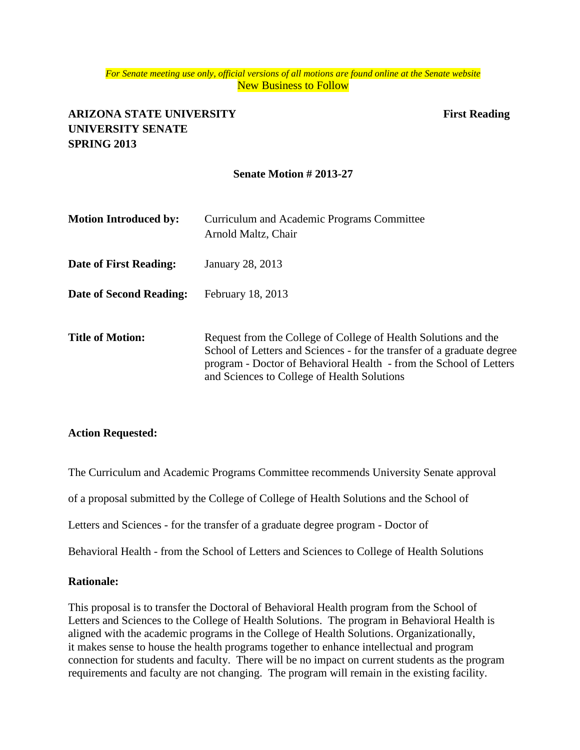#### *For Senate meeting use only, official versions of all motions are found online at the Senate website* New Business to Follow

# **ARIZONA STATE UNIVERSITY First Reading UNIVERSITY SENATE SPRING 2013**

### **Senate Motion # 2013-27**

| <b>Motion Introduced by:</b>  | Curriculum and Academic Programs Committee<br>Arnold Maltz, Chair                                                                                                                                                                                              |
|-------------------------------|----------------------------------------------------------------------------------------------------------------------------------------------------------------------------------------------------------------------------------------------------------------|
| <b>Date of First Reading:</b> | January 28, 2013                                                                                                                                                                                                                                               |
| Date of Second Reading:       | February 18, 2013                                                                                                                                                                                                                                              |
| <b>Title of Motion:</b>       | Request from the College of College of Health Solutions and the<br>School of Letters and Sciences - for the transfer of a graduate degree<br>program - Doctor of Behavioral Health - from the School of Letters<br>and Sciences to College of Health Solutions |

#### **Action Requested:**

The Curriculum and Academic Programs Committee recommends University Senate approval

of a proposal submitted by the College of College of Health Solutions and the School of

Letters and Sciences - for the transfer of a graduate degree program - Doctor of

Behavioral Health - from the School of Letters and Sciences to [College of Health Solutions](https://provost.asu.edu/sites/default/files/shared/capc/DBH%20Academic%20Org.%20Change_0.pdf)

#### **Rationale:**

This proposal is to transfer the Doctoral of Behavioral Health program from the School of Letters and Sciences to the College of Health Solutions. The program in Behavioral Health is aligned with the academic programs in the College of Health Solutions. Organizationally, it makes sense to house the health programs together to enhance intellectual and program connection for students and faculty. There will be no impact on current students as the program requirements and faculty are not changing. The program will remain in the existing facility.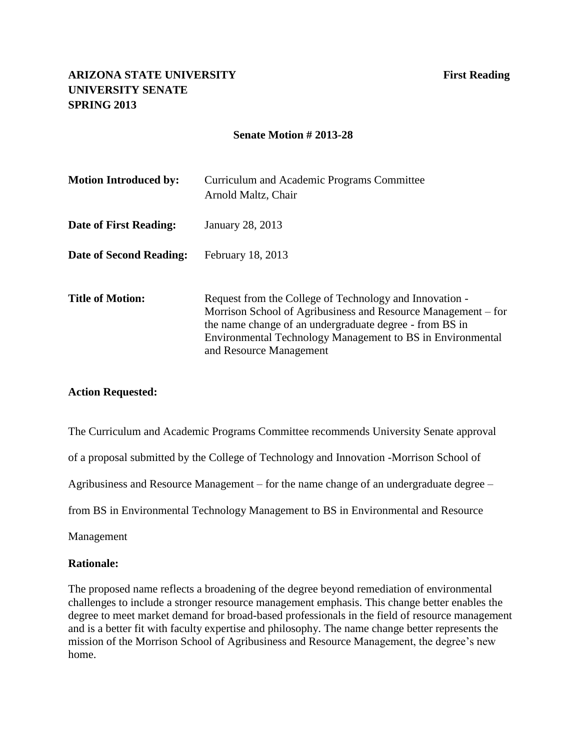#### **Senate Motion # 2013-28**

| <b>Motion Introduced by:</b> | Curriculum and Academic Programs Committee<br>Arnold Maltz, Chair                                                                                                                                                                                                            |
|------------------------------|------------------------------------------------------------------------------------------------------------------------------------------------------------------------------------------------------------------------------------------------------------------------------|
| Date of First Reading:       | January 28, 2013                                                                                                                                                                                                                                                             |
| Date of Second Reading:      | February 18, 2013                                                                                                                                                                                                                                                            |
| <b>Title of Motion:</b>      | Request from the College of Technology and Innovation -<br>Morrison School of Agribusiness and Resource Management – for<br>the name change of an undergraduate degree - from BS in<br>Environmental Technology Management to BS in Environmental<br>and Resource Management |

#### **Action Requested:**

The Curriculum and Academic Programs Committee recommends University Senate approval

of a proposal submitted by the College of Technology and Innovation -Morrison School of

Agribusiness and Resource Management – for the name change of an undergraduate degree –

from BS in Environmental Technology Management to [BS in Environmental and Resource](https://provost.asu.edu/sites/default/files/shared/capc/CTI%20Proposal%20to%20Change%20BS%20in%20ETM%20to%20ERM%2011-20-2012.docx%20SEE%20CORRECT%20NAME%20ABOVE.pdf)

[Management](https://provost.asu.edu/sites/default/files/shared/capc/CTI%20Proposal%20to%20Change%20BS%20in%20ETM%20to%20ERM%2011-20-2012.docx%20SEE%20CORRECT%20NAME%20ABOVE.pdf)

#### **Rationale:**

The proposed name reflects a broadening of the degree beyond remediation of environmental challenges to include a stronger resource management emphasis. This change better enables the degree to meet market demand for broad-based professionals in the field of resource management and is a better fit with faculty expertise and philosophy. The name change better represents the mission of the Morrison School of Agribusiness and Resource Management, the degree's new home.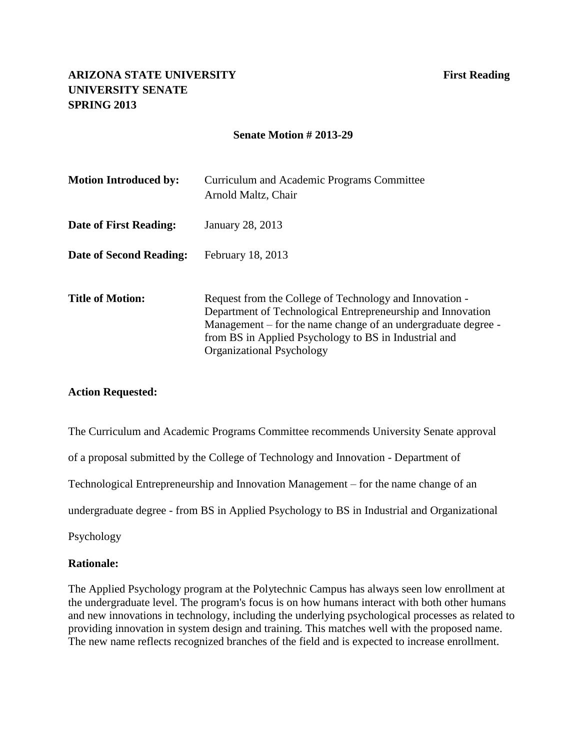#### **Senate Motion # 2013-29**

| <b>Motion Introduced by:</b> | Curriculum and Academic Programs Committee<br>Arnold Maltz, Chair                                                                                                                                                                                                             |
|------------------------------|-------------------------------------------------------------------------------------------------------------------------------------------------------------------------------------------------------------------------------------------------------------------------------|
| Date of First Reading:       | January 28, 2013                                                                                                                                                                                                                                                              |
| Date of Second Reading:      | February 18, 2013                                                                                                                                                                                                                                                             |
| <b>Title of Motion:</b>      | Request from the College of Technology and Innovation -<br>Department of Technological Entrepreneurship and Innovation<br>Management – for the name change of an undergraduate degree -<br>from BS in Applied Psychology to BS in Industrial and<br>Organizational Psychology |

#### **Action Requested:**

The Curriculum and Academic Programs Committee recommends University Senate approval

of a proposal submitted by the College of Technology and Innovation - Department of

Technological Entrepreneurship and Innovation Management – for the name change of an

undergraduate degree - from BS in Applied Psychology [to BS in Industrial and Organizational](https://provost.asu.edu/sites/default/files/shared/capc/CTI%20Proposal%20to%20Change%20the%20Name%20of%20Applied%20Psychology%20final.pdf) 

Psychology

#### **Rationale:**

The Applied Psychology program at the Polytechnic Campus has always seen low enrollment at the undergraduate level. The program's focus is on how humans interact with both other humans and new innovations in technology, including the underlying psychological processes as related to providing innovation in system design and training. This matches well with the proposed name. The new name reflects recognized branches of the field and is expected to increase enrollment.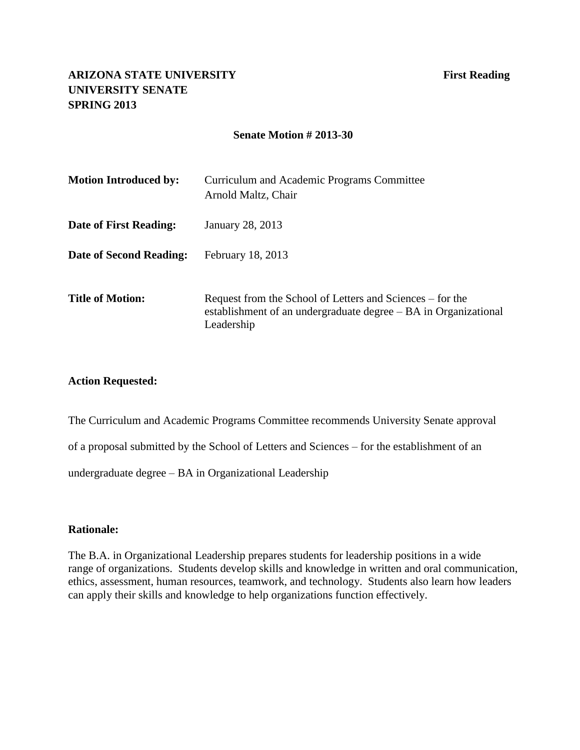#### **Senate Motion # 2013-30**

| <b>Motion Introduced by:</b> | Curriculum and Academic Programs Committee<br>Arnold Maltz, Chair                                                                          |
|------------------------------|--------------------------------------------------------------------------------------------------------------------------------------------|
| Date of First Reading:       | January 28, 2013                                                                                                                           |
| Date of Second Reading:      | February 18, 2013                                                                                                                          |
| <b>Title of Motion:</b>      | Request from the School of Letters and Sciences – for the<br>establishment of an undergraduate degree – BA in Organizational<br>Leadership |

#### **Action Requested:**

The Curriculum and Academic Programs Committee recommends University Senate approval of a proposal submitted by the School of Letters and Sciences – for the establishment of an undergraduate degree – BA in Organizational [Leadership](https://provost.asu.edu/sites/default/files/shared/capc/Organizational%20Leadership%20Degree-Letters%20and%20Sciences_0.pdf)

#### **Rationale:**

The B.A. in Organizational Leadership prepares students for leadership positions in a wide range of organizations. Students develop skills and knowledge in written and oral communication, ethics, assessment, human resources, teamwork, and technology. Students also learn how leaders can apply their skills and knowledge to help organizations function effectively.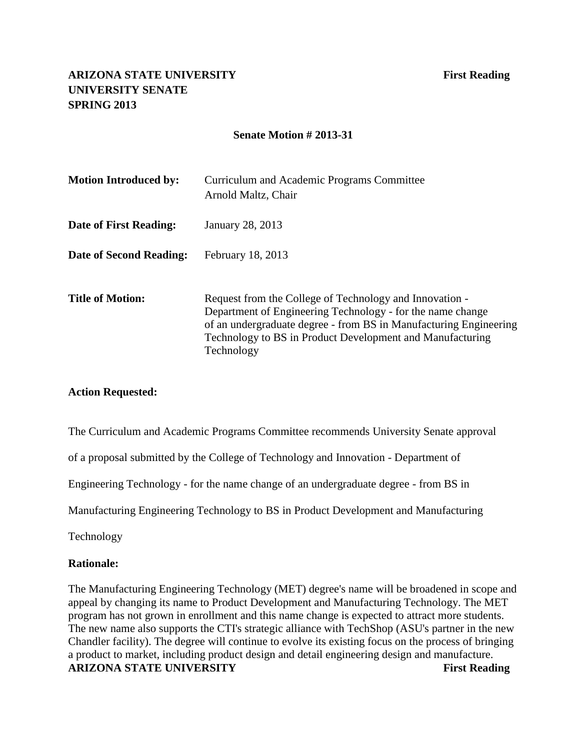### **Senate Motion # 2013-31**

| <b>Motion Introduced by:</b> | Curriculum and Academic Programs Committee<br>Arnold Maltz, Chair                                                                                                                                                                                                     |
|------------------------------|-----------------------------------------------------------------------------------------------------------------------------------------------------------------------------------------------------------------------------------------------------------------------|
| Date of First Reading:       | January 28, 2013                                                                                                                                                                                                                                                      |
| Date of Second Reading:      | February 18, 2013                                                                                                                                                                                                                                                     |
| <b>Title of Motion:</b>      | Request from the College of Technology and Innovation -<br>Department of Engineering Technology - for the name change<br>of an undergraduate degree - from BS in Manufacturing Engineering<br>Technology to BS in Product Development and Manufacturing<br>Technology |

#### **Action Requested:**

The Curriculum and Academic Programs Committee recommends University Senate approval

of a proposal submitted by the College of Technology and Innovation - Department of

Engineering Technology - for the name change of an undergraduate degree - from BS in

Manufacturing Engineering Technology to [BS in Product Development and Manufacturing](https://provost.asu.edu/sites/default/files/shared/capc/CTI%20Proposal%20to%20Change%20%20Mfg%20ET%20to%20Product%20Devel%20and%20Mfg%20Tech%2011-20-2012.....pdf) 

Technology

#### **Rationale:**

The Manufacturing Engineering Technology (MET) degree's name will be broadened in scope and appeal by changing its name to Product Development and Manufacturing Technology. The MET program has not grown in enrollment and this name change is expected to attract more students. The new name also supports the CTI's strategic alliance with TechShop (ASU's partner in the new Chandler facility). The degree will continue to evolve its existing focus on the process of bringing a product to market, including product design and detail engineering design and manufacture. **ARIZONA STATE UNIVERSITY First Reading**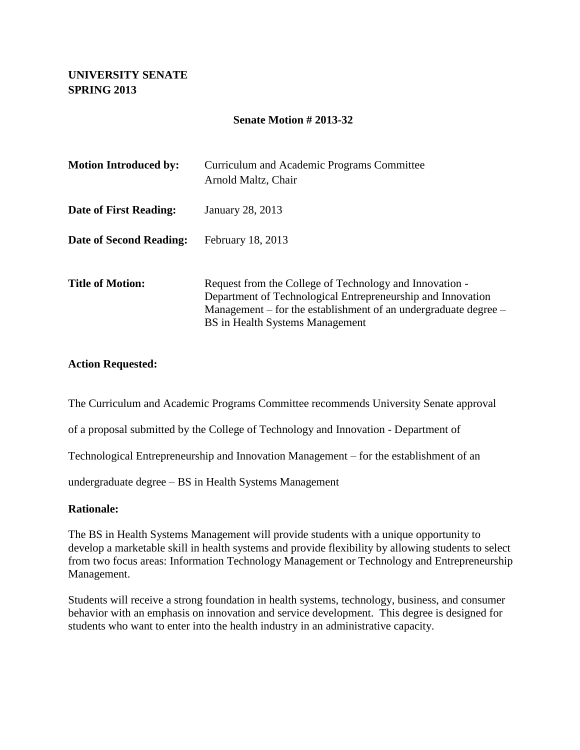# **UNIVERSITY SENATE SPRING 2013**

### **Senate Motion # 2013-32**

| <b>Motion Introduced by:</b> | Curriculum and Academic Programs Committee<br>Arnold Maltz, Chair                                                                                                                                                                   |
|------------------------------|-------------------------------------------------------------------------------------------------------------------------------------------------------------------------------------------------------------------------------------|
| Date of First Reading:       | January 28, 2013                                                                                                                                                                                                                    |
| Date of Second Reading:      | February 18, 2013                                                                                                                                                                                                                   |
| <b>Title of Motion:</b>      | Request from the College of Technology and Innovation -<br>Department of Technological Entrepreneurship and Innovation<br>Management – for the establishment of an undergraduate degree –<br><b>BS</b> in Health Systems Management |

#### **Action Requested:**

The Curriculum and Academic Programs Committee recommends University Senate approval

of a proposal submitted by the College of Technology and Innovation - Department of

Technological Entrepreneurship and Innovation Management – for the establishment of an

undergraduate degree – BS in Health Systems Management

#### **Rationale:**

The BS in Health Systems Management will provide students with a unique opportunity to develop a marketable skill in health systems and provide flexibility by allowing students to select from two focus areas: Information Technology Management or Technology and Entrepreneurship Management.

Students will receive a strong foundation in health systems, technology, business, and consumer behavior with an emphasis on innovation and service development. This degree is designed for students who want to enter into the health industry in an administrative capacity.